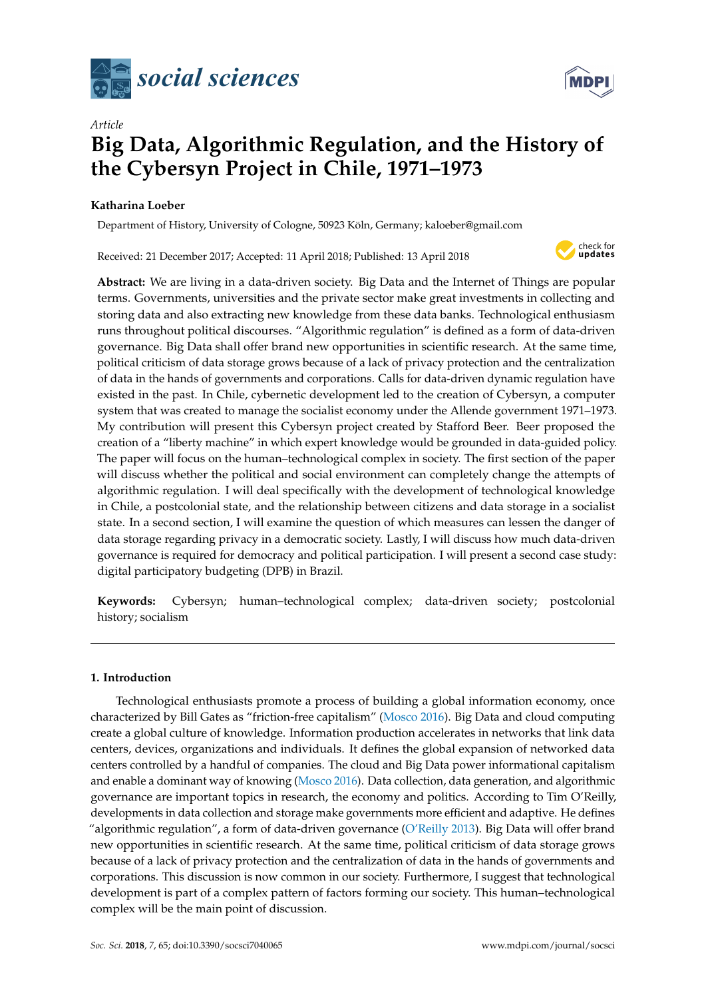

# *Article* **Big Data, Algorithmic Regulation, and the History of the Cybersyn Project in Chile, 1971–1973**

# **Katharina Loeber**

Department of History, University of Cologne, 50923 Köln, Germany; kaloeber@gmail.com

Received: 21 December 2017; Accepted: 11 April 2018; Published: 13 April 2018



**MDPI** 

**Abstract:** We are living in a data-driven society. Big Data and the Internet of Things are popular terms. Governments, universities and the private sector make great investments in collecting and storing data and also extracting new knowledge from these data banks. Technological enthusiasm runs throughout political discourses. "Algorithmic regulation" is defined as a form of data-driven governance. Big Data shall offer brand new opportunities in scientific research. At the same time, political criticism of data storage grows because of a lack of privacy protection and the centralization of data in the hands of governments and corporations. Calls for data-driven dynamic regulation have existed in the past. In Chile, cybernetic development led to the creation of Cybersyn, a computer system that was created to manage the socialist economy under the Allende government 1971–1973. My contribution will present this Cybersyn project created by Stafford Beer. Beer proposed the creation of a "liberty machine" in which expert knowledge would be grounded in data-guided policy. The paper will focus on the human–technological complex in society. The first section of the paper will discuss whether the political and social environment can completely change the attempts of algorithmic regulation. I will deal specifically with the development of technological knowledge in Chile, a postcolonial state, and the relationship between citizens and data storage in a socialist state. In a second section, I will examine the question of which measures can lessen the danger of data storage regarding privacy in a democratic society. Lastly, I will discuss how much data-driven governance is required for democracy and political participation. I will present a second case study: digital participatory budgeting (DPB) in Brazil.

**Keywords:** Cybersyn; human–technological complex; data-driven society; postcolonial history; socialism

## **1. Introduction**

Technological enthusiasts promote a process of building a global information economy, once characterized by Bill Gates as "friction-free capitalism" [\(Mosco](#page-14-0) [2016\)](#page-14-0). Big Data and cloud computing create a global culture of knowledge. Information production accelerates in networks that link data centers, devices, organizations and individuals. It defines the global expansion of networked data centers controlled by a handful of companies. The cloud and Big Data power informational capitalism and enable a dominant way of knowing [\(Mosco](#page-14-0) [2016\)](#page-14-0). Data collection, data generation, and algorithmic governance are important topics in research, the economy and politics. According to Tim O'Reilly, developments in data collection and storage make governments more efficient and adaptive. He defines "algorithmic regulation", a form of data-driven governance [\(O'Reilly](#page-14-1) [2013\)](#page-14-1). Big Data will offer brand new opportunities in scientific research. At the same time, political criticism of data storage grows because of a lack of privacy protection and the centralization of data in the hands of governments and corporations. This discussion is now common in our society. Furthermore, I suggest that technological development is part of a complex pattern of factors forming our society. This human–technological complex will be the main point of discussion.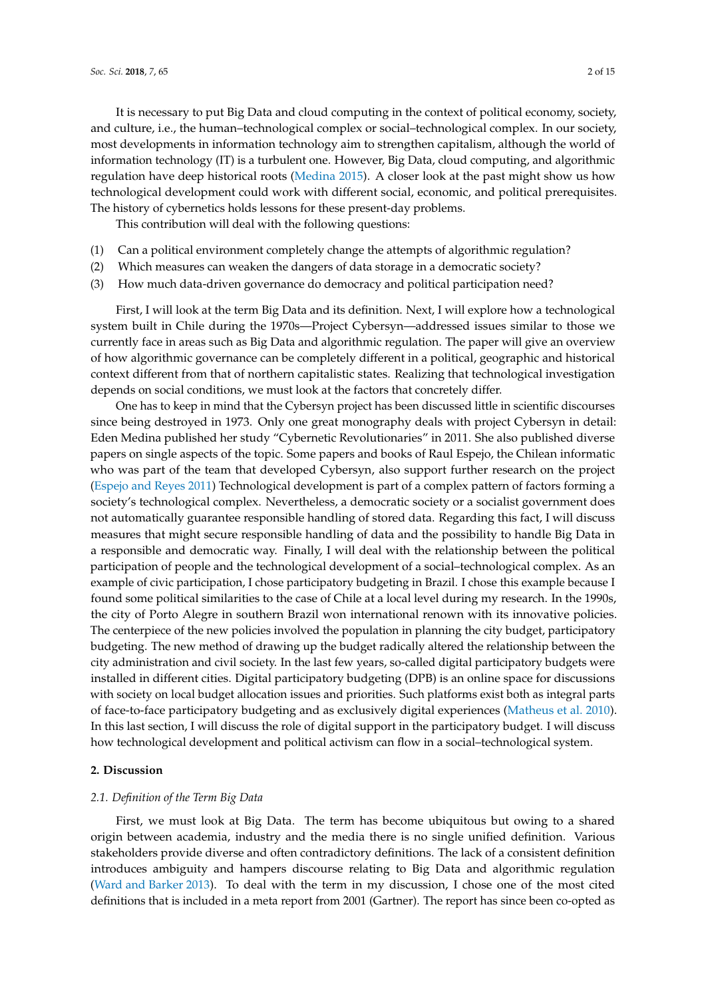It is necessary to put Big Data and cloud computing in the context of political economy, society, and culture, i.e., the human–technological complex or social–technological complex. In our society, most developments in information technology aim to strengthen capitalism, although the world of information technology (IT) is a turbulent one. However, Big Data, cloud computing, and algorithmic regulation have deep historical roots [\(Medina](#page-14-2) [2015\)](#page-14-2). A closer look at the past might show us how technological development could work with different social, economic, and political prerequisites. The history of cybernetics holds lessons for these present-day problems.

This contribution will deal with the following questions:

- (1) Can a political environment completely change the attempts of algorithmic regulation?
- (2) Which measures can weaken the dangers of data storage in a democratic society?
- (3) How much data-driven governance do democracy and political participation need?

First, I will look at the term Big Data and its definition. Next, I will explore how a technological system built in Chile during the 1970s—Project Cybersyn—addressed issues similar to those we currently face in areas such as Big Data and algorithmic regulation. The paper will give an overview of how algorithmic governance can be completely different in a political, geographic and historical context different from that of northern capitalistic states. Realizing that technological investigation depends on social conditions, we must look at the factors that concretely differ.

One has to keep in mind that the Cybersyn project has been discussed little in scientific discourses since being destroyed in 1973. Only one great monography deals with project Cybersyn in detail: Eden Medina published her study "Cybernetic Revolutionaries" in 2011. She also published diverse papers on single aspects of the topic. Some papers and books of Raul Espejo, the Chilean informatic who was part of the team that developed Cybersyn, also support further research on the project [\(Espejo and Reyes](#page-13-0) [2011\)](#page-13-0) Technological development is part of a complex pattern of factors forming a society's technological complex. Nevertheless, a democratic society or a socialist government does not automatically guarantee responsible handling of stored data. Regarding this fact, I will discuss measures that might secure responsible handling of data and the possibility to handle Big Data in a responsible and democratic way. Finally, I will deal with the relationship between the political participation of people and the technological development of a social–technological complex. As an example of civic participation, I chose participatory budgeting in Brazil. I chose this example because I found some political similarities to the case of Chile at a local level during my research. In the 1990s, the city of Porto Alegre in southern Brazil won international renown with its innovative policies. The centerpiece of the new policies involved the population in planning the city budget, participatory budgeting. The new method of drawing up the budget radically altered the relationship between the city administration and civil society. In the last few years, so-called digital participatory budgets were installed in different cities. Digital participatory budgeting (DPB) is an online space for discussions with society on local budget allocation issues and priorities. Such platforms exist both as integral parts of face-to-face participatory budgeting and as exclusively digital experiences [\(Matheus et al.](#page-14-3) [2010\)](#page-14-3). In this last section, I will discuss the role of digital support in the participatory budget. I will discuss how technological development and political activism can flow in a social–technological system.

#### **2. Discussion**

#### *2.1. Definition of the Term Big Data*

First, we must look at Big Data. The term has become ubiquitous but owing to a shared origin between academia, industry and the media there is no single unified definition. Various stakeholders provide diverse and often contradictory definitions. The lack of a consistent definition introduces ambiguity and hampers discourse relating to Big Data and algorithmic regulation [\(Ward and Barker](#page-14-4) [2013\)](#page-14-4). To deal with the term in my discussion, I chose one of the most cited definitions that is included in a meta report from 2001 (Gartner). The report has since been co-opted as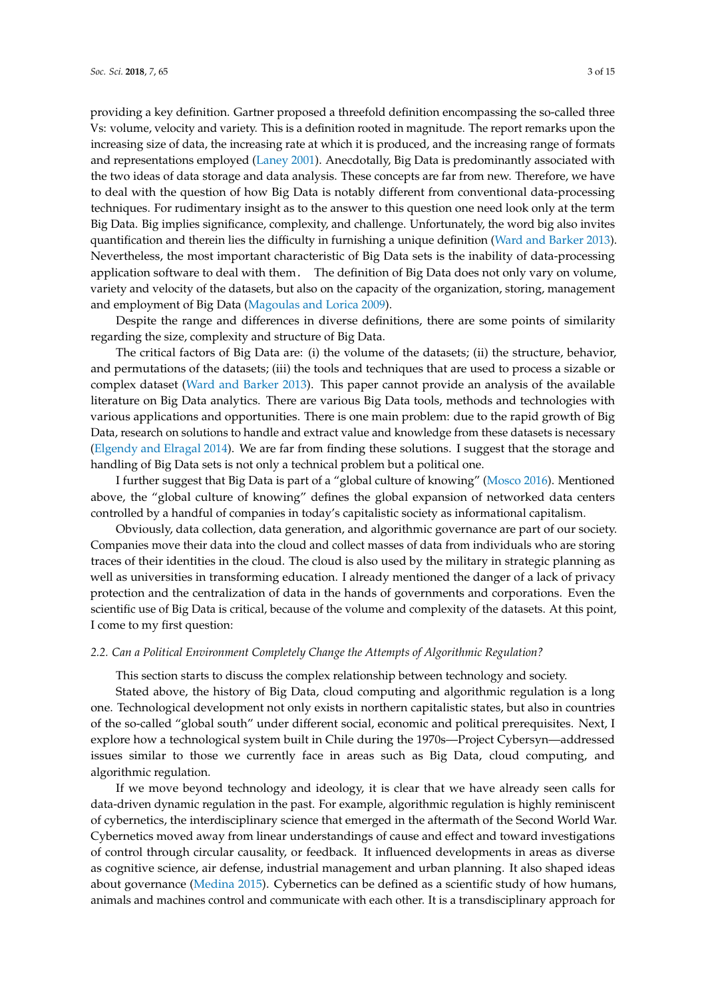providing a key definition. Gartner proposed a threefold definition encompassing the so-called three Vs: volume, velocity and variety. This is a definition rooted in magnitude. The report remarks upon the increasing size of data, the increasing rate at which it is produced, and the increasing range of formats and representations employed [\(Laney](#page-14-5) [2001\)](#page-14-5). Anecdotally, Big Data is predominantly associated with the two ideas of data storage and data analysis. These concepts are far from new. Therefore, we have to deal with the question of how Big Data is notably different from conventional data-processing techniques. For rudimentary insight as to the answer to this question one need look only at the term Big Data. Big implies significance, complexity, and challenge. Unfortunately, the word big also invites quantification and therein lies the difficulty in furnishing a unique definition [\(Ward and Barker](#page-14-4) [2013\)](#page-14-4). Nevertheless, the most important characteristic of Big Data sets is the inability of data-processing application software to deal with them. The definition of Big Data does not only vary on volume, variety and velocity of the datasets, but also on the capacity of the organization, storing, management and employment of Big Data [\(Magoulas and Lorica](#page-14-6) [2009\)](#page-14-6).

Despite the range and differences in diverse definitions, there are some points of similarity regarding the size, complexity and structure of Big Data.

The critical factors of Big Data are: (i) the volume of the datasets; (ii) the structure, behavior, and permutations of the datasets; (iii) the tools and techniques that are used to process a sizable or complex dataset [\(Ward and Barker](#page-14-4) [2013\)](#page-14-4). This paper cannot provide an analysis of the available literature on Big Data analytics. There are various Big Data tools, methods and technologies with various applications and opportunities. There is one main problem: due to the rapid growth of Big Data, research on solutions to handle and extract value and knowledge from these datasets is necessary [\(Elgendy and Elragal](#page-13-1) [2014\)](#page-13-1). We are far from finding these solutions. I suggest that the storage and handling of Big Data sets is not only a technical problem but a political one.

I further suggest that Big Data is part of a "global culture of knowing" [\(Mosco](#page-14-0) [2016\)](#page-14-0). Mentioned above, the "global culture of knowing" defines the global expansion of networked data centers controlled by a handful of companies in today's capitalistic society as informational capitalism.

Obviously, data collection, data generation, and algorithmic governance are part of our society. Companies move their data into the cloud and collect masses of data from individuals who are storing traces of their identities in the cloud. The cloud is also used by the military in strategic planning as well as universities in transforming education. I already mentioned the danger of a lack of privacy protection and the centralization of data in the hands of governments and corporations. Even the scientific use of Big Data is critical, because of the volume and complexity of the datasets. At this point, I come to my first question:

### *2.2. Can a Political Environment Completely Change the Attempts of Algorithmic Regulation?*

This section starts to discuss the complex relationship between technology and society.

Stated above, the history of Big Data, cloud computing and algorithmic regulation is a long one. Technological development not only exists in northern capitalistic states, but also in countries of the so-called "global south" under different social, economic and political prerequisites. Next, I explore how a technological system built in Chile during the 1970s—Project Cybersyn—addressed issues similar to those we currently face in areas such as Big Data, cloud computing, and algorithmic regulation.

If we move beyond technology and ideology, it is clear that we have already seen calls for data-driven dynamic regulation in the past. For example, algorithmic regulation is highly reminiscent of cybernetics, the interdisciplinary science that emerged in the aftermath of the Second World War. Cybernetics moved away from linear understandings of cause and effect and toward investigations of control through circular causality, or feedback. It influenced developments in areas as diverse as cognitive science, air defense, industrial management and urban planning. It also shaped ideas about governance [\(Medina](#page-14-2) [2015\)](#page-14-2). Cybernetics can be defined as a scientific study of how humans, animals and machines control and communicate with each other. It is a transdisciplinary approach for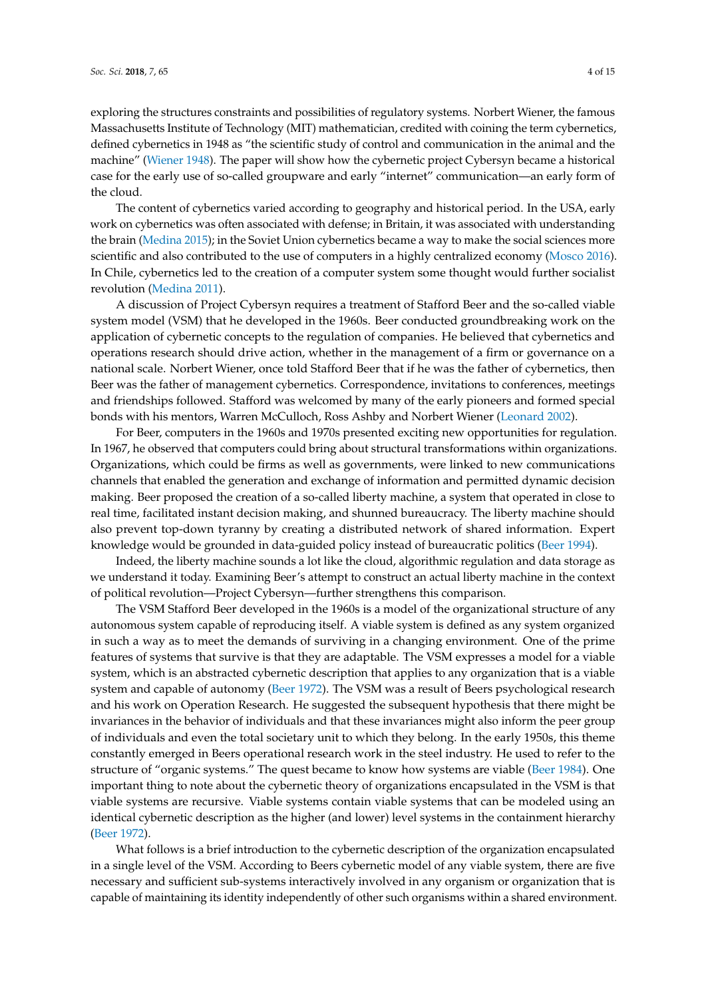exploring the structures constraints and possibilities of regulatory systems. Norbert Wiener, the famous Massachusetts Institute of Technology (MIT) mathematician, credited with coining the term cybernetics, defined cybernetics in 1948 as "the scientific study of control and communication in the animal and the machine" [\(Wiener](#page-14-7) [1948\)](#page-14-7). The paper will show how the cybernetic project Cybersyn became a historical case for the early use of so-called groupware and early "internet" communication—an early form of the cloud.

The content of cybernetics varied according to geography and historical period. In the USA, early work on cybernetics was often associated with defense; in Britain, it was associated with understanding the brain [\(Medina](#page-14-2) [2015\)](#page-14-2); in the Soviet Union cybernetics became a way to make the social sciences more scientific and also contributed to the use of computers in a highly centralized economy [\(Mosco](#page-14-0) [2016\)](#page-14-0). In Chile, cybernetics led to the creation of a computer system some thought would further socialist revolution [\(Medina](#page-14-8) [2011\)](#page-14-8).

A discussion of Project Cybersyn requires a treatment of Stafford Beer and the so-called viable system model (VSM) that he developed in the 1960s. Beer conducted groundbreaking work on the application of cybernetic concepts to the regulation of companies. He believed that cybernetics and operations research should drive action, whether in the management of a firm or governance on a national scale. Norbert Wiener, once told Stafford Beer that if he was the father of cybernetics, then Beer was the father of management cybernetics. Correspondence, invitations to conferences, meetings and friendships followed. Stafford was welcomed by many of the early pioneers and formed special bonds with his mentors, Warren McCulloch, Ross Ashby and Norbert Wiener [\(Leonard](#page-14-9) [2002\)](#page-14-9).

For Beer, computers in the 1960s and 1970s presented exciting new opportunities for regulation. In 1967, he observed that computers could bring about structural transformations within organizations. Organizations, which could be firms as well as governments, were linked to new communications channels that enabled the generation and exchange of information and permitted dynamic decision making. Beer proposed the creation of a so-called liberty machine, a system that operated in close to real time, facilitated instant decision making, and shunned bureaucracy. The liberty machine should also prevent top-down tyranny by creating a distributed network of shared information. Expert knowledge would be grounded in data-guided policy instead of bureaucratic politics [\(Beer](#page-13-2) [1994\)](#page-13-2).

Indeed, the liberty machine sounds a lot like the cloud, algorithmic regulation and data storage as we understand it today. Examining Beer's attempt to construct an actual liberty machine in the context of political revolution—Project Cybersyn—further strengthens this comparison.

The VSM Stafford Beer developed in the 1960s is a model of the organizational structure of any autonomous system capable of reproducing itself. A viable system is defined as any system organized in such a way as to meet the demands of surviving in a changing environment. One of the prime features of systems that survive is that they are adaptable. The VSM expresses a model for a viable system, which is an abstracted cybernetic description that applies to any organization that is a viable system and capable of autonomy [\(Beer](#page-13-3) [1972\)](#page-13-3). The VSM was a result of Beers psychological research and his work on Operation Research. He suggested the subsequent hypothesis that there might be invariances in the behavior of individuals and that these invariances might also inform the peer group of individuals and even the total societary unit to which they belong. In the early 1950s, this theme constantly emerged in Beers operational research work in the steel industry. He used to refer to the structure of "organic systems." The quest became to know how systems are viable [\(Beer](#page-13-4) [1984\)](#page-13-4). One important thing to note about the cybernetic theory of organizations encapsulated in the VSM is that viable systems are recursive. Viable systems contain viable systems that can be modeled using an identical cybernetic description as the higher (and lower) level systems in the containment hierarchy [\(Beer](#page-13-3) [1972\)](#page-13-3).

What follows is a brief introduction to the cybernetic description of the organization encapsulated in a single level of the VSM. According to Beers cybernetic model of any viable system, there are five necessary and sufficient sub-systems interactively involved in any organism or organization that is capable of maintaining its identity independently of other such organisms within a shared environment.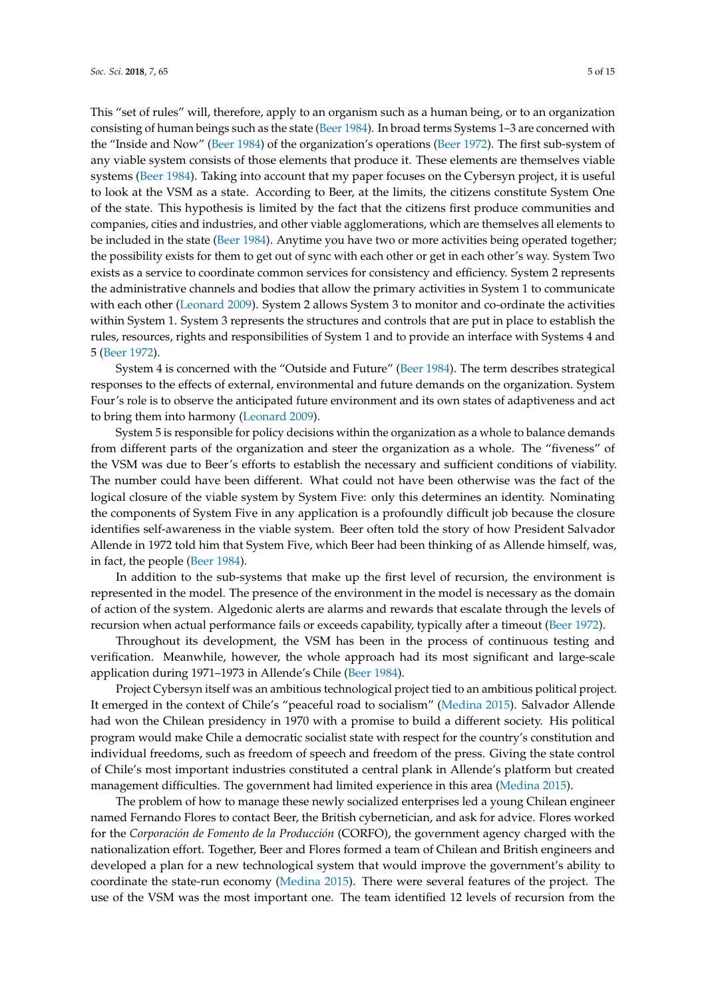This "set of rules" will, therefore, apply to an organism such as a human being, or to an organization consisting of human beings such as the state [\(Beer](#page-13-4) [1984\)](#page-13-4). In broad terms Systems 1–3 are concerned with the "Inside and Now" [\(Beer](#page-13-4) [1984\)](#page-13-4) of the organization's operations [\(Beer](#page-13-3) [1972\)](#page-13-3). The first sub-system of any viable system consists of those elements that produce it. These elements are themselves viable systems [\(Beer](#page-13-4) [1984\)](#page-13-4). Taking into account that my paper focuses on the Cybersyn project, it is useful to look at the VSM as a state. According to Beer, at the limits, the citizens constitute System One of the state. This hypothesis is limited by the fact that the citizens first produce communities and companies, cities and industries, and other viable agglomerations, which are themselves all elements to be included in the state [\(Beer](#page-13-4) [1984\)](#page-13-4). Anytime you have two or more activities being operated together; the possibility exists for them to get out of sync with each other or get in each other's way. System Two exists as a service to coordinate common services for consistency and efficiency. System 2 represents the administrative channels and bodies that allow the primary activities in System 1 to communicate with each other [\(Leonard](#page-14-10) [2009\)](#page-14-10). System 2 allows System 3 to monitor and co-ordinate the activities within System 1. System 3 represents the structures and controls that are put in place to establish the rules, resources, rights and responsibilities of System 1 and to provide an interface with Systems 4 and 5 [\(Beer](#page-13-3) [1972\)](#page-13-3).

System 4 is concerned with the "Outside and Future" [\(Beer](#page-13-4) [1984\)](#page-13-4). The term describes strategical responses to the effects of external, environmental and future demands on the organization. System Four's role is to observe the anticipated future environment and its own states of adaptiveness and act to bring them into harmony [\(Leonard](#page-14-10) [2009\)](#page-14-10).

System 5 is responsible for policy decisions within the organization as a whole to balance demands from different parts of the organization and steer the organization as a whole. The "fiveness" of the VSM was due to Beer's efforts to establish the necessary and sufficient conditions of viability. The number could have been different. What could not have been otherwise was the fact of the logical closure of the viable system by System Five: only this determines an identity. Nominating the components of System Five in any application is a profoundly difficult job because the closure identifies self-awareness in the viable system. Beer often told the story of how President Salvador Allende in 1972 told him that System Five, which Beer had been thinking of as Allende himself, was, in fact, the people [\(Beer](#page-13-4) [1984\)](#page-13-4).

In addition to the sub-systems that make up the first level of recursion, the environment is represented in the model. The presence of the environment in the model is necessary as the domain of action of the system. Algedonic alerts are alarms and rewards that escalate through the levels of recursion when actual performance fails or exceeds capability, typically after a timeout [\(Beer](#page-13-3) [1972\)](#page-13-3).

Throughout its development, the VSM has been in the process of continuous testing and verification. Meanwhile, however, the whole approach had its most significant and large-scale application during 1971–1973 in Allende's Chile [\(Beer](#page-13-4) [1984\)](#page-13-4).

Project Cybersyn itself was an ambitious technological project tied to an ambitious political project. It emerged in the context of Chile's "peaceful road to socialism" [\(Medina](#page-14-2) [2015\)](#page-14-2). Salvador Allende had won the Chilean presidency in 1970 with a promise to build a different society. His political program would make Chile a democratic socialist state with respect for the country's constitution and individual freedoms, such as freedom of speech and freedom of the press. Giving the state control of Chile's most important industries constituted a central plank in Allende's platform but created management difficulties. The government had limited experience in this area [\(Medina](#page-14-2) [2015\)](#page-14-2).

The problem of how to manage these newly socialized enterprises led a young Chilean engineer named Fernando Flores to contact Beer, the British cybernetician, and ask for advice. Flores worked for the *Corporación de Fomento de la Producción* (CORFO), the government agency charged with the nationalization effort. Together, Beer and Flores formed a team of Chilean and British engineers and developed a plan for a new technological system that would improve the government's ability to coordinate the state-run economy [\(Medina](#page-14-2) [2015\)](#page-14-2). There were several features of the project. The use of the VSM was the most important one. The team identified 12 levels of recursion from the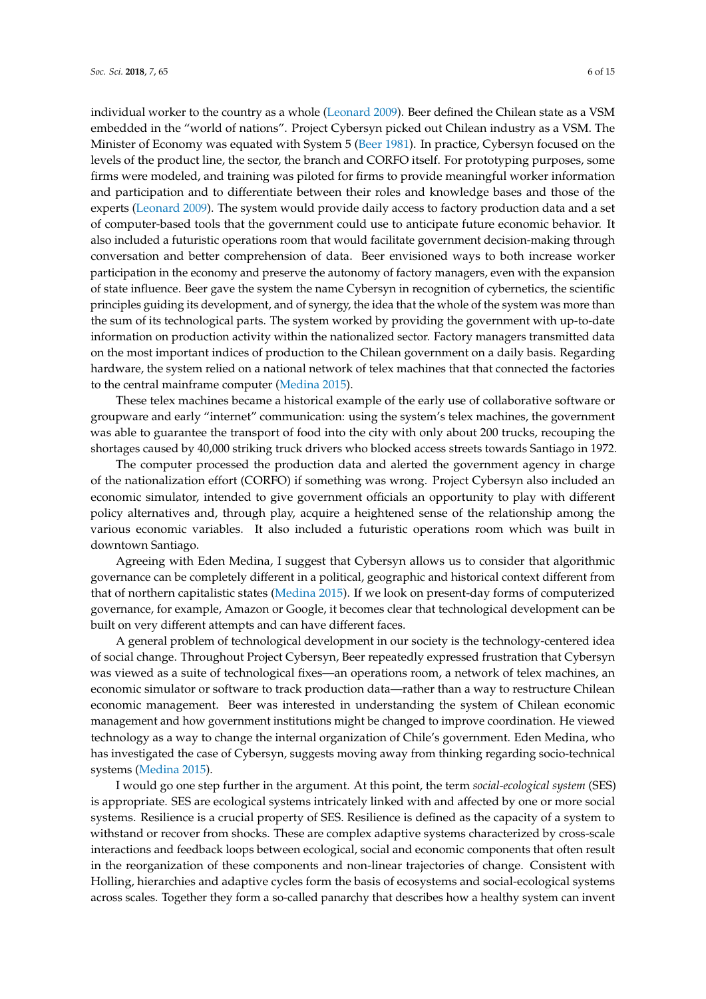individual worker to the country as a whole [\(Leonard](#page-14-10) [2009\)](#page-14-10). Beer defined the Chilean state as a VSM embedded in the "world of nations". Project Cybersyn picked out Chilean industry as a VSM. The Minister of Economy was equated with System 5 [\(Beer](#page-13-5) [1981\)](#page-13-5). In practice, Cybersyn focused on the levels of the product line, the sector, the branch and CORFO itself. For prototyping purposes, some firms were modeled, and training was piloted for firms to provide meaningful worker information and participation and to differentiate between their roles and knowledge bases and those of the experts [\(Leonard](#page-14-10) [2009\)](#page-14-10). The system would provide daily access to factory production data and a set of computer-based tools that the government could use to anticipate future economic behavior. It also included a futuristic operations room that would facilitate government decision-making through conversation and better comprehension of data. Beer envisioned ways to both increase worker participation in the economy and preserve the autonomy of factory managers, even with the expansion of state influence. Beer gave the system the name Cybersyn in recognition of cybernetics, the scientific principles guiding its development, and of synergy, the idea that the whole of the system was more than the sum of its technological parts. The system worked by providing the government with up-to-date information on production activity within the nationalized sector. Factory managers transmitted data on the most important indices of production to the Chilean government on a daily basis. Regarding hardware, the system relied on a national network of telex machines that that connected the factories to the central mainframe computer [\(Medina](#page-14-2) [2015\)](#page-14-2).

These telex machines became a historical example of the early use of collaborative software or groupware and early "internet" communication: using the system's telex machines, the government was able to guarantee the transport of food into the city with only about 200 trucks, recouping the shortages caused by 40,000 striking truck drivers who blocked access streets towards Santiago in 1972.

The computer processed the production data and alerted the government agency in charge of the nationalization effort (CORFO) if something was wrong. Project Cybersyn also included an economic simulator, intended to give government officials an opportunity to play with different policy alternatives and, through play, acquire a heightened sense of the relationship among the various economic variables. It also included a futuristic operations room which was built in downtown Santiago.

Agreeing with Eden Medina, I suggest that Cybersyn allows us to consider that algorithmic governance can be completely different in a political, geographic and historical context different from that of northern capitalistic states [\(Medina](#page-14-2) [2015\)](#page-14-2). If we look on present-day forms of computerized governance, for example, Amazon or Google, it becomes clear that technological development can be built on very different attempts and can have different faces.

A general problem of technological development in our society is the technology-centered idea of social change. Throughout Project Cybersyn, Beer repeatedly expressed frustration that Cybersyn was viewed as a suite of technological fixes—an operations room, a network of telex machines, an economic simulator or software to track production data—rather than a way to restructure Chilean economic management. Beer was interested in understanding the system of Chilean economic management and how government institutions might be changed to improve coordination. He viewed technology as a way to change the internal organization of Chile's government. Eden Medina, who has investigated the case of Cybersyn, suggests moving away from thinking regarding socio-technical systems [\(Medina](#page-14-2) [2015\)](#page-14-2).

I would go one step further in the argument. At this point, the term *social-ecological system* (SES) is appropriate. SES are ecological systems intricately linked with and affected by one or more social systems. Resilience is a crucial property of SES. Resilience is defined as the capacity of a system to withstand or recover from shocks. These are complex adaptive systems characterized by cross-scale interactions and feedback loops between ecological, social and economic components that often result in the reorganization of these components and non-linear trajectories of change. Consistent with Holling, hierarchies and adaptive cycles form the basis of ecosystems and social-ecological systems across scales. Together they form a so-called panarchy that describes how a healthy system can invent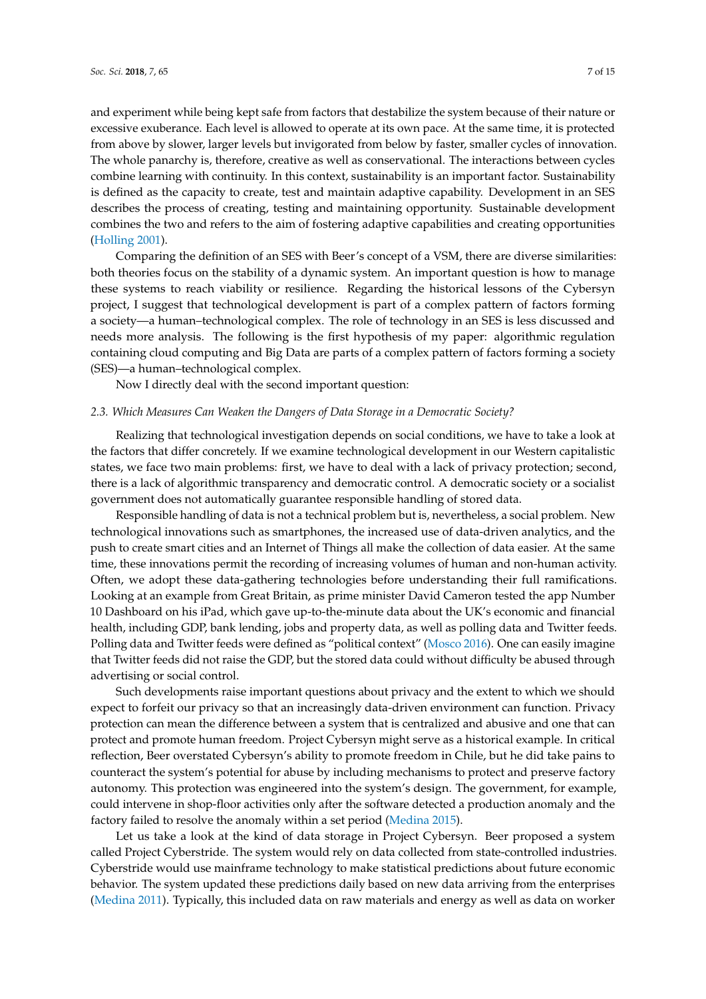and experiment while being kept safe from factors that destabilize the system because of their nature or excessive exuberance. Each level is allowed to operate at its own pace. At the same time, it is protected from above by slower, larger levels but invigorated from below by faster, smaller cycles of innovation. The whole panarchy is, therefore, creative as well as conservational. The interactions between cycles combine learning with continuity. In this context, sustainability is an important factor. Sustainability is defined as the capacity to create, test and maintain adaptive capability. Development in an SES describes the process of creating, testing and maintaining opportunity. Sustainable development combines the two and refers to the aim of fostering adaptive capabilities and creating opportunities [\(Holling](#page-14-11) [2001\)](#page-14-11).

Comparing the definition of an SES with Beer's concept of a VSM, there are diverse similarities: both theories focus on the stability of a dynamic system. An important question is how to manage these systems to reach viability or resilience. Regarding the historical lessons of the Cybersyn project, I suggest that technological development is part of a complex pattern of factors forming a society—a human–technological complex. The role of technology in an SES is less discussed and needs more analysis. The following is the first hypothesis of my paper: algorithmic regulation containing cloud computing and Big Data are parts of a complex pattern of factors forming a society (SES)—a human–technological complex.

Now I directly deal with the second important question:

## *2.3. Which Measures Can Weaken the Dangers of Data Storage in a Democratic Society?*

Realizing that technological investigation depends on social conditions, we have to take a look at the factors that differ concretely. If we examine technological development in our Western capitalistic states, we face two main problems: first, we have to deal with a lack of privacy protection; second, there is a lack of algorithmic transparency and democratic control. A democratic society or a socialist government does not automatically guarantee responsible handling of stored data.

Responsible handling of data is not a technical problem but is, nevertheless, a social problem. New technological innovations such as smartphones, the increased use of data-driven analytics, and the push to create smart cities and an Internet of Things all make the collection of data easier. At the same time, these innovations permit the recording of increasing volumes of human and non-human activity. Often, we adopt these data-gathering technologies before understanding their full ramifications. Looking at an example from Great Britain, as prime minister David Cameron tested the app Number 10 Dashboard on his iPad, which gave up-to-the-minute data about the UK's economic and financial health, including GDP, bank lending, jobs and property data, as well as polling data and Twitter feeds. Polling data and Twitter feeds were defined as "political context" [\(Mosco](#page-14-0) [2016\)](#page-14-0). One can easily imagine that Twitter feeds did not raise the GDP, but the stored data could without difficulty be abused through advertising or social control.

Such developments raise important questions about privacy and the extent to which we should expect to forfeit our privacy so that an increasingly data-driven environment can function. Privacy protection can mean the difference between a system that is centralized and abusive and one that can protect and promote human freedom. Project Cybersyn might serve as a historical example. In critical reflection, Beer overstated Cybersyn's ability to promote freedom in Chile, but he did take pains to counteract the system's potential for abuse by including mechanisms to protect and preserve factory autonomy. This protection was engineered into the system's design. The government, for example, could intervene in shop-floor activities only after the software detected a production anomaly and the factory failed to resolve the anomaly within a set period [\(Medina](#page-14-2) [2015\)](#page-14-2).

Let us take a look at the kind of data storage in Project Cybersyn. Beer proposed a system called Project Cyberstride. The system would rely on data collected from state-controlled industries. Cyberstride would use mainframe technology to make statistical predictions about future economic behavior. The system updated these predictions daily based on new data arriving from the enterprises [\(Medina](#page-14-8) [2011\)](#page-14-8). Typically, this included data on raw materials and energy as well as data on worker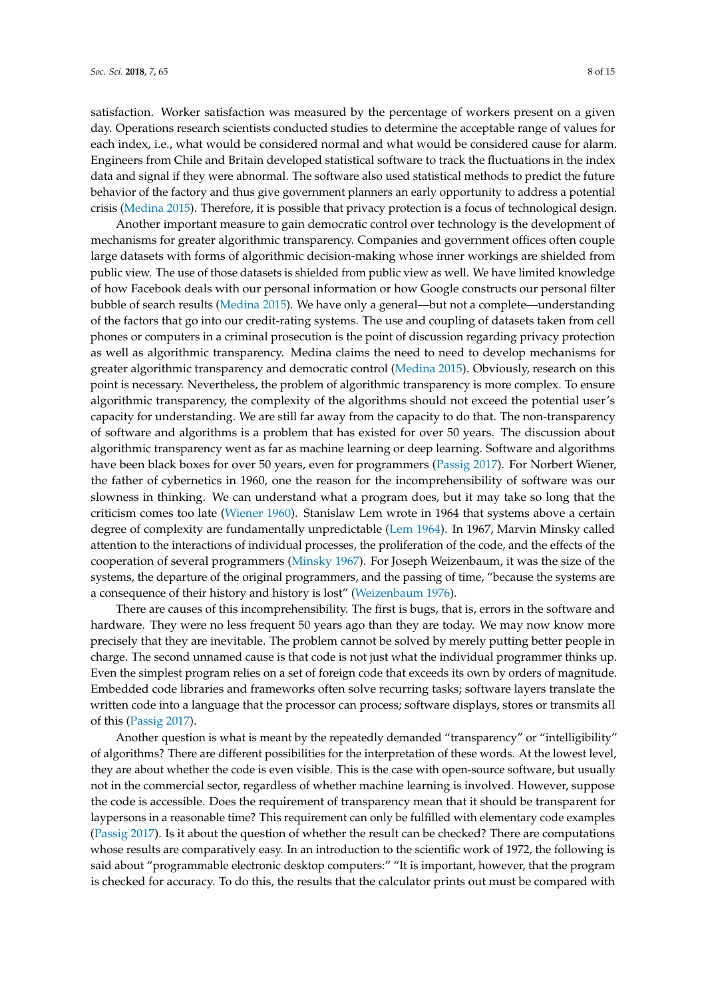satisfaction. Worker satisfaction was measured by the percentage of workers present on a given day. Operations research scientists conducted studies to determine the acceptable range of values for each index, i.e., what would be considered normal and what would be considered cause for alarm. Engineers from Chile and Britain developed statistical software to track the fluctuations in the index data and signal if they were abnormal. The software also used statistical methods to predict the future behavior of the factory and thus give government planners an early opportunity to address a potential crisis [\(Medina](#page-14-2) [2015\)](#page-14-2). Therefore, it is possible that privacy protection is a focus of technological design.

Another important measure to gain democratic control over technology is the development of mechanisms for greater algorithmic transparency. Companies and government offices often couple large datasets with forms of algorithmic decision-making whose inner workings are shielded from public view. The use of those datasets is shielded from public view as well. We have limited knowledge of how Facebook deals with our personal information or how Google constructs our personal filter bubble of search results [\(Medina](#page-14-2) [2015\)](#page-14-2). We have only a general—but not a complete—understanding of the factors that go into our credit-rating systems. The use and coupling of datasets taken from cell phones or computers in a criminal prosecution is the point of discussion regarding privacy protection as well as algorithmic transparency. Medina claims the need to need to develop mechanisms for greater algorithmic transparency and democratic control [\(Medina](#page-14-2) [2015\)](#page-14-2). Obviously, research on this point is necessary. Nevertheless, the problem of algorithmic transparency is more complex. To ensure algorithmic transparency, the complexity of the algorithms should not exceed the potential user's capacity for understanding. We are still far away from the capacity to do that. The non-transparency of software and algorithms is a problem that has existed for over 50 years. The discussion about algorithmic transparency went as far as machine learning or deep learning. Software and algorithms have been black boxes for over 50 years, even for programmers [\(Passig](#page-14-12) [2017\)](#page-14-12). For Norbert Wiener, the father of cybernetics in 1960, one the reason for the incomprehensibility of software was our slowness in thinking. We can understand what a program does, but it may take so long that the criticism comes too late [\(Wiener](#page-14-13) [1960\)](#page-14-13). Stanislaw Lem wrote in 1964 that systems above a certain degree of complexity are fundamentally unpredictable [\(Lem](#page-14-14) [1964\)](#page-14-14). In 1967, Marvin Minsky called attention to the interactions of individual processes, the proliferation of the code, and the effects of the cooperation of several programmers [\(Minsky](#page-14-15) [1967\)](#page-14-15). For Joseph Weizenbaum, it was the size of the systems, the departure of the original programmers, and the passing of time, "because the systems are a consequence of their history and history is lost" [\(Weizenbaum](#page-14-16) [1976\)](#page-14-16).

There are causes of this incomprehensibility. The first is bugs, that is, errors in the software and hardware. They were no less frequent 50 years ago than they are today. We may now know more precisely that they are inevitable. The problem cannot be solved by merely putting better people in charge. The second unnamed cause is that code is not just what the individual programmer thinks up. Even the simplest program relies on a set of foreign code that exceeds its own by orders of magnitude. Embedded code libraries and frameworks often solve recurring tasks; software layers translate the written code into a language that the processor can process; software displays, stores or transmits all of this [\(Passig](#page-14-12) [2017\)](#page-14-12).

Another question is what is meant by the repeatedly demanded "transparency" or "intelligibility" of algorithms? There are different possibilities for the interpretation of these words. At the lowest level, they are about whether the code is even visible. This is the case with open-source software, but usually not in the commercial sector, regardless of whether machine learning is involved. However, suppose the code is accessible. Does the requirement of transparency mean that it should be transparent for laypersons in a reasonable time? This requirement can only be fulfilled with elementary code examples [\(Passig](#page-14-12) [2017\)](#page-14-12). Is it about the question of whether the result can be checked? There are computations whose results are comparatively easy. In an introduction to the scientific work of 1972, the following is said about "programmable electronic desktop computers:" "It is important, however, that the program is checked for accuracy. To do this, the results that the calculator prints out must be compared with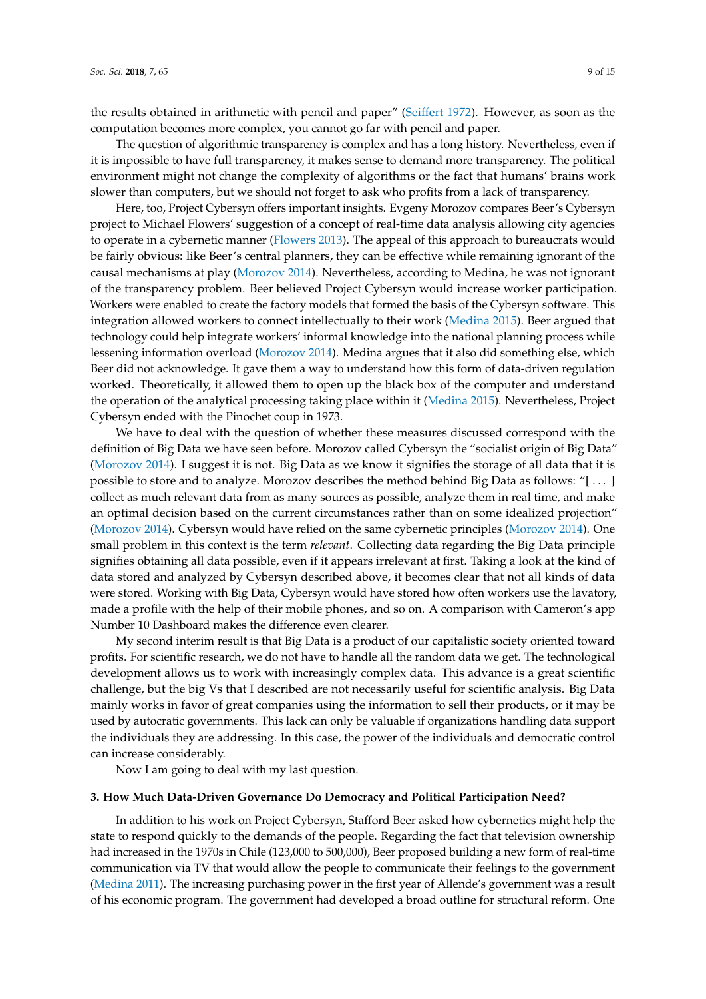the results obtained in arithmetic with pencil and paper" [\(Seiffert](#page-14-17) [1972\)](#page-14-17). However, as soon as the computation becomes more complex, you cannot go far with pencil and paper.

The question of algorithmic transparency is complex and has a long history. Nevertheless, even if it is impossible to have full transparency, it makes sense to demand more transparency. The political environment might not change the complexity of algorithms or the fact that humans' brains work slower than computers, but we should not forget to ask who profits from a lack of transparency.

Here, too, Project Cybersyn offers important insights. Evgeny Morozov compares Beer's Cybersyn project to Michael Flowers' suggestion of a concept of real-time data analysis allowing city agencies to operate in a cybernetic manner [\(Flowers](#page-14-18) [2013\)](#page-14-18). The appeal of this approach to bureaucrats would be fairly obvious: like Beer's central planners, they can be effective while remaining ignorant of the causal mechanisms at play [\(Morozov](#page-14-19) [2014\)](#page-14-19). Nevertheless, according to Medina, he was not ignorant of the transparency problem. Beer believed Project Cybersyn would increase worker participation. Workers were enabled to create the factory models that formed the basis of the Cybersyn software. This integration allowed workers to connect intellectually to their work [\(Medina](#page-14-2) [2015\)](#page-14-2). Beer argued that technology could help integrate workers' informal knowledge into the national planning process while lessening information overload [\(Morozov](#page-14-19) [2014\)](#page-14-19). Medina argues that it also did something else, which Beer did not acknowledge. It gave them a way to understand how this form of data-driven regulation worked. Theoretically, it allowed them to open up the black box of the computer and understand the operation of the analytical processing taking place within it [\(Medina](#page-14-2) [2015\)](#page-14-2). Nevertheless, Project Cybersyn ended with the Pinochet coup in 1973.

We have to deal with the question of whether these measures discussed correspond with the definition of Big Data we have seen before. Morozov called Cybersyn the "socialist origin of Big Data" [\(Morozov](#page-14-19) [2014\)](#page-14-19). I suggest it is not. Big Data as we know it signifies the storage of all data that it is possible to store and to analyze. Morozov describes the method behind Big Data as follows: "[ . . . ] collect as much relevant data from as many sources as possible, analyze them in real time, and make an optimal decision based on the current circumstances rather than on some idealized projection" [\(Morozov](#page-14-19) [2014\)](#page-14-19). Cybersyn would have relied on the same cybernetic principles [\(Morozov](#page-14-19) [2014\)](#page-14-19). One small problem in this context is the term *relevant*. Collecting data regarding the Big Data principle signifies obtaining all data possible, even if it appears irrelevant at first. Taking a look at the kind of data stored and analyzed by Cybersyn described above, it becomes clear that not all kinds of data were stored. Working with Big Data, Cybersyn would have stored how often workers use the lavatory, made a profile with the help of their mobile phones, and so on. A comparison with Cameron's app Number 10 Dashboard makes the difference even clearer.

My second interim result is that Big Data is a product of our capitalistic society oriented toward profits. For scientific research, we do not have to handle all the random data we get. The technological development allows us to work with increasingly complex data. This advance is a great scientific challenge, but the big Vs that I described are not necessarily useful for scientific analysis. Big Data mainly works in favor of great companies using the information to sell their products, or it may be used by autocratic governments. This lack can only be valuable if organizations handling data support the individuals they are addressing. In this case, the power of the individuals and democratic control can increase considerably.

Now I am going to deal with my last question.

#### **3. How Much Data-Driven Governance Do Democracy and Political Participation Need?**

In addition to his work on Project Cybersyn, Stafford Beer asked how cybernetics might help the state to respond quickly to the demands of the people. Regarding the fact that television ownership had increased in the 1970s in Chile (123,000 to 500,000), Beer proposed building a new form of real-time communication via TV that would allow the people to communicate their feelings to the government [\(Medina](#page-14-8) [2011\)](#page-14-8). The increasing purchasing power in the first year of Allende's government was a result of his economic program. The government had developed a broad outline for structural reform. One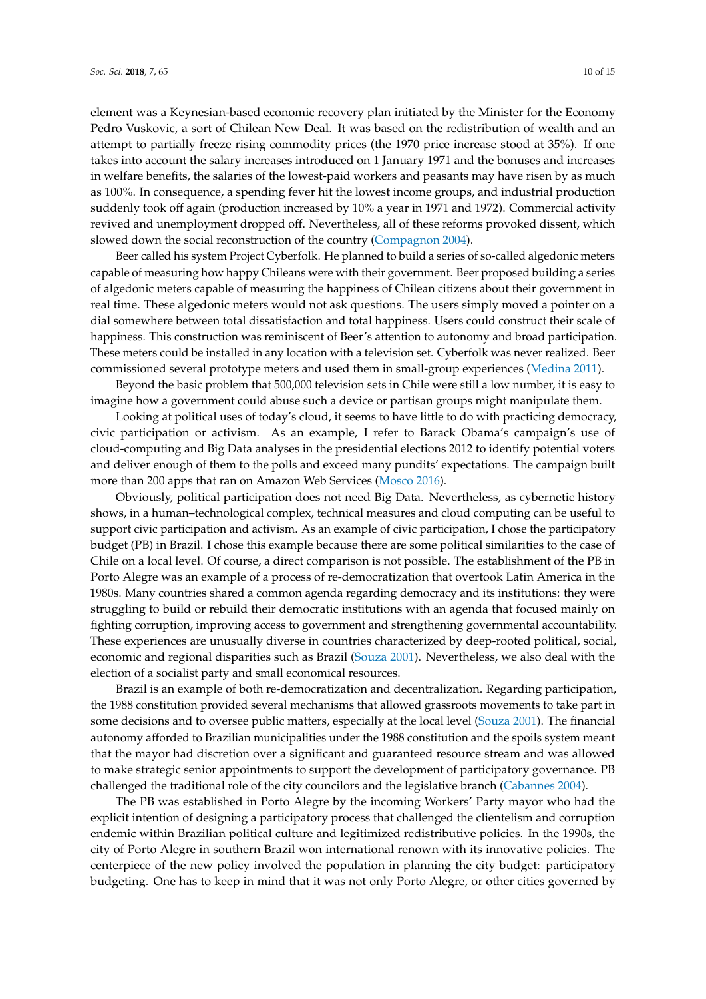element was a Keynesian-based economic recovery plan initiated by the Minister for the Economy Pedro Vuskovic, a sort of Chilean New Deal. It was based on the redistribution of wealth and an attempt to partially freeze rising commodity prices (the 1970 price increase stood at 35%). If one takes into account the salary increases introduced on 1 January 1971 and the bonuses and increases in welfare benefits, the salaries of the lowest-paid workers and peasants may have risen by as much as 100%. In consequence, a spending fever hit the lowest income groups, and industrial production suddenly took off again (production increased by 10% a year in 1971 and 1972). Commercial activity revived and unemployment dropped off. Nevertheless, all of these reforms provoked dissent, which slowed down the social reconstruction of the country [\(Compagnon](#page-13-6) [2004\)](#page-13-6).

Beer called his system Project Cyberfolk. He planned to build a series of so-called algedonic meters capable of measuring how happy Chileans were with their government. Beer proposed building a series of algedonic meters capable of measuring the happiness of Chilean citizens about their government in real time. These algedonic meters would not ask questions. The users simply moved a pointer on a dial somewhere between total dissatisfaction and total happiness. Users could construct their scale of happiness. This construction was reminiscent of Beer's attention to autonomy and broad participation. These meters could be installed in any location with a television set. Cyberfolk was never realized. Beer commissioned several prototype meters and used them in small-group experiences [\(Medina](#page-14-8) [2011\)](#page-14-8).

Beyond the basic problem that 500,000 television sets in Chile were still a low number, it is easy to imagine how a government could abuse such a device or partisan groups might manipulate them.

Looking at political uses of today's cloud, it seems to have little to do with practicing democracy, civic participation or activism. As an example, I refer to Barack Obama's campaign's use of cloud-computing and Big Data analyses in the presidential elections 2012 to identify potential voters and deliver enough of them to the polls and exceed many pundits' expectations. The campaign built more than 200 apps that ran on Amazon Web Services [\(Mosco](#page-14-0) [2016\)](#page-14-0).

Obviously, political participation does not need Big Data. Nevertheless, as cybernetic history shows, in a human–technological complex, technical measures and cloud computing can be useful to support civic participation and activism. As an example of civic participation, I chose the participatory budget (PB) in Brazil. I chose this example because there are some political similarities to the case of Chile on a local level. Of course, a direct comparison is not possible. The establishment of the PB in Porto Alegre was an example of a process of re-democratization that overtook Latin America in the 1980s. Many countries shared a common agenda regarding democracy and its institutions: they were struggling to build or rebuild their democratic institutions with an agenda that focused mainly on fighting corruption, improving access to government and strengthening governmental accountability. These experiences are unusually diverse in countries characterized by deep-rooted political, social, economic and regional disparities such as Brazil [\(Souza](#page-14-20) [2001\)](#page-14-20). Nevertheless, we also deal with the election of a socialist party and small economical resources.

Brazil is an example of both re-democratization and decentralization. Regarding participation, the 1988 constitution provided several mechanisms that allowed grassroots movements to take part in some decisions and to oversee public matters, especially at the local level [\(Souza](#page-14-20) [2001\)](#page-14-20). The financial autonomy afforded to Brazilian municipalities under the 1988 constitution and the spoils system meant that the mayor had discretion over a significant and guaranteed resource stream and was allowed to make strategic senior appointments to support the development of participatory governance. PB challenged the traditional role of the city councilors and the legislative branch [\(Cabannes](#page-13-7) [2004\)](#page-13-7).

The PB was established in Porto Alegre by the incoming Workers' Party mayor who had the explicit intention of designing a participatory process that challenged the clientelism and corruption endemic within Brazilian political culture and legitimized redistributive policies. In the 1990s, the city of Porto Alegre in southern Brazil won international renown with its innovative policies. The centerpiece of the new policy involved the population in planning the city budget: participatory budgeting. One has to keep in mind that it was not only Porto Alegre, or other cities governed by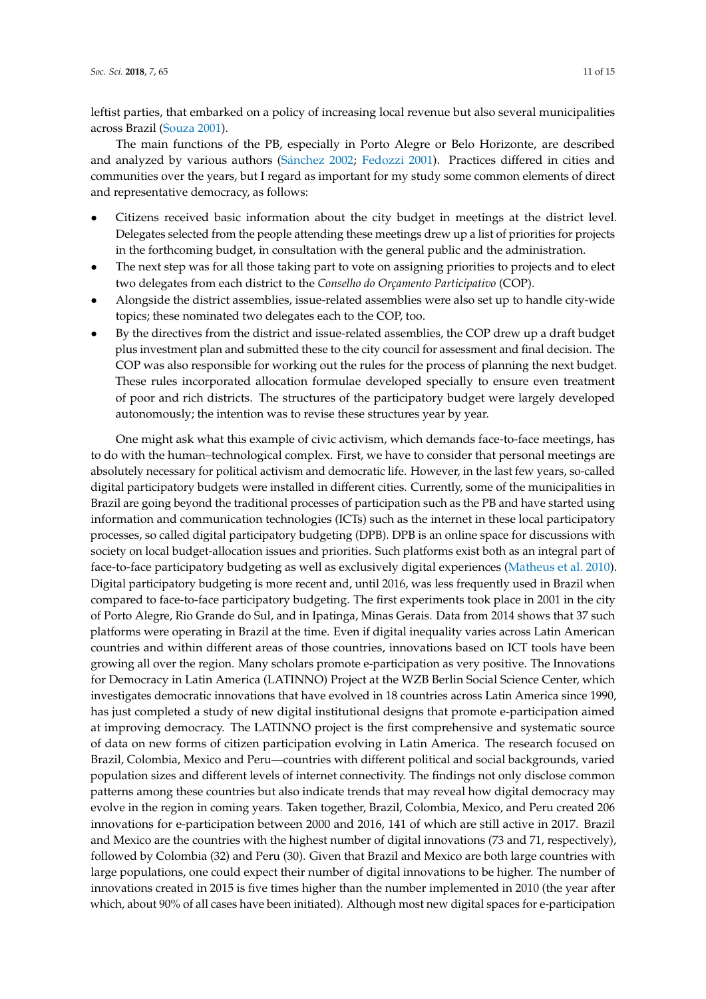leftist parties, that embarked on a policy of increasing local revenue but also several municipalities across Brazil [\(Souza](#page-14-20) [2001\)](#page-14-20).

The main functions of the PB, especially in Porto Alegre or Belo Horizonte, are described and analyzed by various authors (Sá[nchez](#page-14-21) [2002;](#page-14-21) [Fedozzi](#page-13-8) [2001\)](#page-13-8). Practices differed in cities and communities over the years, but I regard as important for my study some common elements of direct and representative democracy, as follows:

- Citizens received basic information about the city budget in meetings at the district level. Delegates selected from the people attending these meetings drew up a list of priorities for projects in the forthcoming budget, in consultation with the general public and the administration.
- The next step was for all those taking part to vote on assigning priorities to projects and to elect two delegates from each district to the *Conselho do Orçamento Participativo* (COP).
- Alongside the district assemblies, issue-related assemblies were also set up to handle city-wide topics; these nominated two delegates each to the COP, too.
- By the directives from the district and issue-related assemblies, the COP drew up a draft budget plus investment plan and submitted these to the city council for assessment and final decision. The COP was also responsible for working out the rules for the process of planning the next budget. These rules incorporated allocation formulae developed specially to ensure even treatment of poor and rich districts. The structures of the participatory budget were largely developed autonomously; the intention was to revise these structures year by year.

One might ask what this example of civic activism, which demands face-to-face meetings, has to do with the human–technological complex. First, we have to consider that personal meetings are absolutely necessary for political activism and democratic life. However, in the last few years, so-called digital participatory budgets were installed in different cities. Currently, some of the municipalities in Brazil are going beyond the traditional processes of participation such as the PB and have started using information and communication technologies (ICTs) such as the internet in these local participatory processes, so called digital participatory budgeting (DPB). DPB is an online space for discussions with society on local budget-allocation issues and priorities. Such platforms exist both as an integral part of face-to-face participatory budgeting as well as exclusively digital experiences [\(Matheus et al.](#page-14-3) [2010\)](#page-14-3). Digital participatory budgeting is more recent and, until 2016, was less frequently used in Brazil when compared to face-to-face participatory budgeting. The first experiments took place in 2001 in the city of Porto Alegre, Rio Grande do Sul, and in Ipatinga, Minas Gerais. Data from 2014 shows that 37 such platforms were operating in Brazil at the time. Even if digital inequality varies across Latin American countries and within different areas of those countries, innovations based on ICT tools have been growing all over the region. Many scholars promote e-participation as very positive. The Innovations for Democracy in Latin America (LATINNO) Project at the WZB Berlin Social Science Center, which investigates democratic innovations that have evolved in 18 countries across Latin America since 1990, has just completed a study of new digital institutional designs that promote e-participation aimed at improving democracy. The LATINNO project is the first comprehensive and systematic source of data on new forms of citizen participation evolving in Latin America. The research focused on Brazil, Colombia, Mexico and Peru—countries with different political and social backgrounds, varied population sizes and different levels of internet connectivity. The findings not only disclose common patterns among these countries but also indicate trends that may reveal how digital democracy may evolve in the region in coming years. Taken together, Brazil, Colombia, Mexico, and Peru created 206 innovations for e-participation between 2000 and 2016, 141 of which are still active in 2017. Brazil and Mexico are the countries with the highest number of digital innovations (73 and 71, respectively), followed by Colombia (32) and Peru (30). Given that Brazil and Mexico are both large countries with large populations, one could expect their number of digital innovations to be higher. The number of innovations created in 2015 is five times higher than the number implemented in 2010 (the year after which, about 90% of all cases have been initiated). Although most new digital spaces for e-participation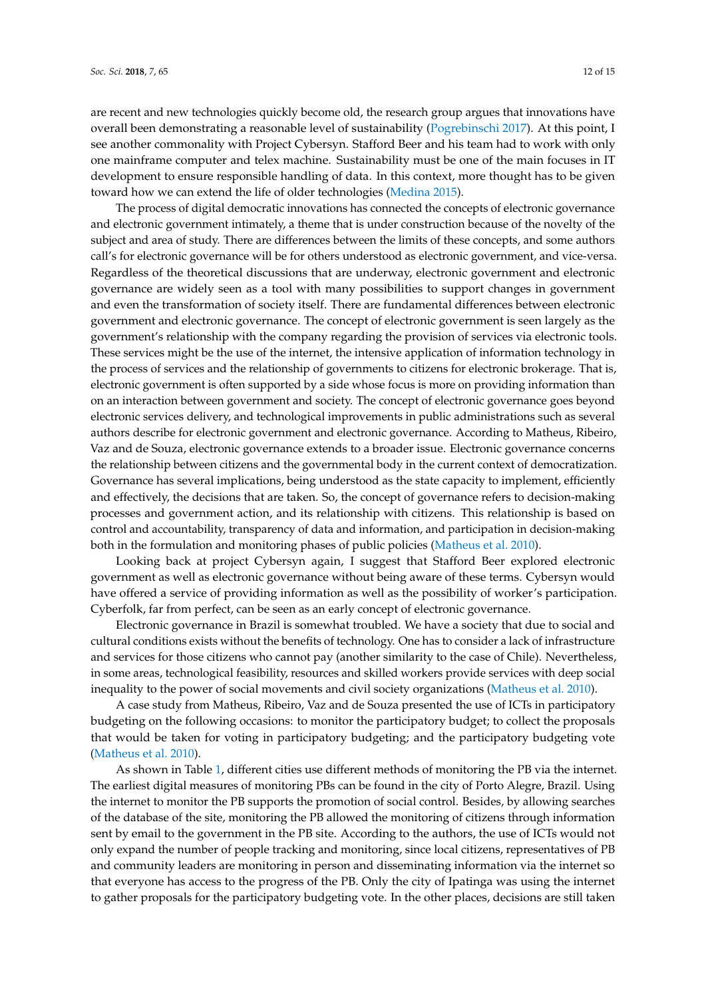are recent and new technologies quickly become old, the research group argues that innovations have overall been demonstrating a reasonable level of sustainability [\(Pogrebinschi](#page-14-22) [2017\)](#page-14-22). At this point, I see another commonality with Project Cybersyn. Stafford Beer and his team had to work with only one mainframe computer and telex machine. Sustainability must be one of the main focuses in IT development to ensure responsible handling of data. In this context, more thought has to be given toward how we can extend the life of older technologies [\(Medina](#page-14-2) [2015\)](#page-14-2).

The process of digital democratic innovations has connected the concepts of electronic governance and electronic government intimately, a theme that is under construction because of the novelty of the subject and area of study. There are differences between the limits of these concepts, and some authors call's for electronic governance will be for others understood as electronic government, and vice-versa. Regardless of the theoretical discussions that are underway, electronic government and electronic governance are widely seen as a tool with many possibilities to support changes in government and even the transformation of society itself. There are fundamental differences between electronic government and electronic governance. The concept of electronic government is seen largely as the government's relationship with the company regarding the provision of services via electronic tools. These services might be the use of the internet, the intensive application of information technology in the process of services and the relationship of governments to citizens for electronic brokerage. That is, electronic government is often supported by a side whose focus is more on providing information than on an interaction between government and society. The concept of electronic governance goes beyond electronic services delivery, and technological improvements in public administrations such as several authors describe for electronic government and electronic governance. According to Matheus, Ribeiro, Vaz and de Souza, electronic governance extends to a broader issue. Electronic governance concerns the relationship between citizens and the governmental body in the current context of democratization. Governance has several implications, being understood as the state capacity to implement, efficiently and effectively, the decisions that are taken. So, the concept of governance refers to decision-making processes and government action, and its relationship with citizens. This relationship is based on control and accountability, transparency of data and information, and participation in decision-making both in the formulation and monitoring phases of public policies [\(Matheus et al.](#page-14-3) [2010\)](#page-14-3).

Looking back at project Cybersyn again, I suggest that Stafford Beer explored electronic government as well as electronic governance without being aware of these terms. Cybersyn would have offered a service of providing information as well as the possibility of worker's participation. Cyberfolk, far from perfect, can be seen as an early concept of electronic governance.

Electronic governance in Brazil is somewhat troubled. We have a society that due to social and cultural conditions exists without the benefits of technology. One has to consider a lack of infrastructure and services for those citizens who cannot pay (another similarity to the case of Chile). Nevertheless, in some areas, technological feasibility, resources and skilled workers provide services with deep social inequality to the power of social movements and civil society organizations [\(Matheus et al.](#page-14-3) [2010\)](#page-14-3).

A case study from Matheus, Ribeiro, Vaz and de Souza presented the use of ICTs in participatory budgeting on the following occasions: to monitor the participatory budget; to collect the proposals that would be taken for voting in participatory budgeting; and the participatory budgeting vote [\(Matheus et al.](#page-14-3) [2010\)](#page-14-3).

As shown in Table [1,](#page-12-0) different cities use different methods of monitoring the PB via the internet. The earliest digital measures of monitoring PBs can be found in the city of Porto Alegre, Brazil. Using the internet to monitor the PB supports the promotion of social control. Besides, by allowing searches of the database of the site, monitoring the PB allowed the monitoring of citizens through information sent by email to the government in the PB site. According to the authors, the use of ICTs would not only expand the number of people tracking and monitoring, since local citizens, representatives of PB and community leaders are monitoring in person and disseminating information via the internet so that everyone has access to the progress of the PB. Only the city of Ipatinga was using the internet to gather proposals for the participatory budgeting vote. In the other places, decisions are still taken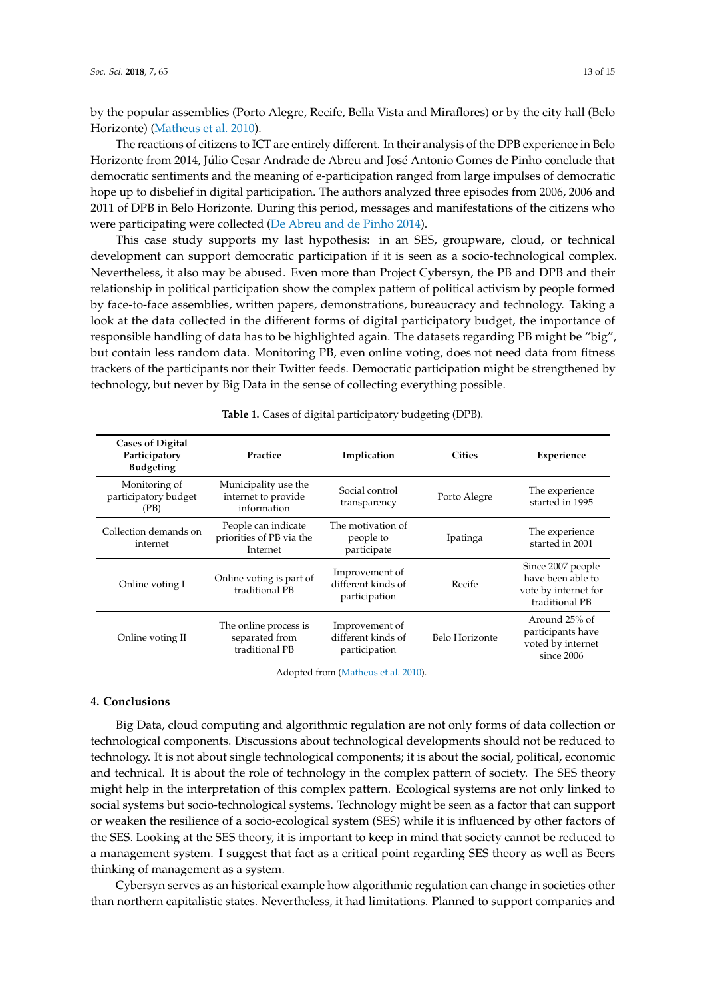by the popular assemblies (Porto Alegre, Recife, Bella Vista and Miraflores) or by the city hall (Belo Horizonte) [\(Matheus et al.](#page-14-3) [2010\)](#page-14-3).

The reactions of citizens to ICT are entirely different. In their analysis of the DPB experience in Belo Horizonte from 2014, Júlio Cesar Andrade de Abreu and José Antonio Gomes de Pinho conclude that democratic sentiments and the meaning of e-participation ranged from large impulses of democratic hope up to disbelief in digital participation. The authors analyzed three episodes from 2006, 2006 and 2011 of DPB in Belo Horizonte. During this period, messages and manifestations of the citizens who were participating were collected [\(De Abreu and de Pinho](#page-13-9) [2014\)](#page-13-9).

This case study supports my last hypothesis: in an SES, groupware, cloud, or technical development can support democratic participation if it is seen as a socio-technological complex. Nevertheless, it also may be abused. Even more than Project Cybersyn, the PB and DPB and their relationship in political participation show the complex pattern of political activism by people formed by face-to-face assemblies, written papers, demonstrations, bureaucracy and technology. Taking a look at the data collected in the different forms of digital participatory budget, the importance of responsible handling of data has to be highlighted again. The datasets regarding PB might be "big", but contain less random data. Monitoring PB, even online voting, does not need data from fitness trackers of the participants nor their Twitter feeds. Democratic participation might be strengthened by technology, but never by Big Data in the sense of collecting everything possible.

<span id="page-12-0"></span>

| <b>Cases of Digital</b><br>Participatory<br><b>Budgeting</b> | Practice                                                    | Implication                                           | <b>Cities</b>  | Experience                                                                       |
|--------------------------------------------------------------|-------------------------------------------------------------|-------------------------------------------------------|----------------|----------------------------------------------------------------------------------|
| Monitoring of<br>participatory budget<br>(PB)                | Municipality use the<br>internet to provide<br>information  | Social control<br>transparency                        | Porto Alegre   | The experience<br>started in 1995                                                |
| Collection demands on<br>internet                            | People can indicate<br>priorities of PB via the<br>Internet | The motivation of<br>people to<br>participate         | Ipatinga       | The experience<br>started in 2001                                                |
| Online voting I                                              | Online voting is part of<br>traditional PB                  | Improvement of<br>different kinds of<br>participation | Recife         | Since 2007 people<br>have been able to<br>vote by internet for<br>traditional PB |
| Online voting II                                             | The online process is<br>separated from<br>traditional PB   | Improvement of<br>different kinds of<br>participation | Belo Horizonte | Around 25% of<br>participants have<br>voted by internet<br>since 2006            |

**Table 1.** Cases of digital participatory budgeting (DPB).

Adopted from [\(Matheus et al.](#page-14-3) [2010\)](#page-14-3).

#### **4. Conclusions**

Big Data, cloud computing and algorithmic regulation are not only forms of data collection or technological components. Discussions about technological developments should not be reduced to technology. It is not about single technological components; it is about the social, political, economic and technical. It is about the role of technology in the complex pattern of society. The SES theory might help in the interpretation of this complex pattern. Ecological systems are not only linked to social systems but socio-technological systems. Technology might be seen as a factor that can support or weaken the resilience of a socio-ecological system (SES) while it is influenced by other factors of the SES. Looking at the SES theory, it is important to keep in mind that society cannot be reduced to a management system. I suggest that fact as a critical point regarding SES theory as well as Beers thinking of management as a system.

Cybersyn serves as an historical example how algorithmic regulation can change in societies other than northern capitalistic states. Nevertheless, it had limitations. Planned to support companies and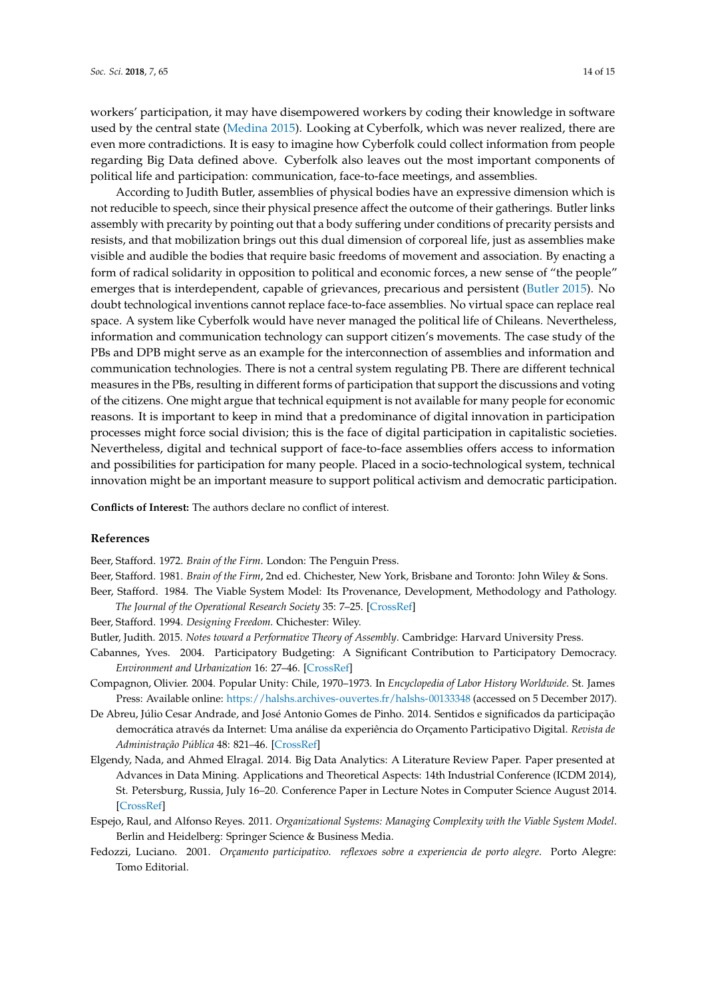workers' participation, it may have disempowered workers by coding their knowledge in software used by the central state [\(Medina](#page-14-2) [2015\)](#page-14-2). Looking at Cyberfolk, which was never realized, there are even more contradictions. It is easy to imagine how Cyberfolk could collect information from people regarding Big Data defined above. Cyberfolk also leaves out the most important components of political life and participation: communication, face-to-face meetings, and assemblies.

According to Judith Butler, assemblies of physical bodies have an expressive dimension which is not reducible to speech, since their physical presence affect the outcome of their gatherings. Butler links assembly with precarity by pointing out that a body suffering under conditions of precarity persists and resists, and that mobilization brings out this dual dimension of corporeal life, just as assemblies make visible and audible the bodies that require basic freedoms of movement and association. By enacting a form of radical solidarity in opposition to political and economic forces, a new sense of "the people" emerges that is interdependent, capable of grievances, precarious and persistent [\(Butler](#page-13-10) [2015\)](#page-13-10). No doubt technological inventions cannot replace face-to-face assemblies. No virtual space can replace real space. A system like Cyberfolk would have never managed the political life of Chileans. Nevertheless, information and communication technology can support citizen's movements. The case study of the PBs and DPB might serve as an example for the interconnection of assemblies and information and communication technologies. There is not a central system regulating PB. There are different technical measures in the PBs, resulting in different forms of participation that support the discussions and voting of the citizens. One might argue that technical equipment is not available for many people for economic reasons. It is important to keep in mind that a predominance of digital innovation in participation processes might force social division; this is the face of digital participation in capitalistic societies. Nevertheless, digital and technical support of face-to-face assemblies offers access to information and possibilities for participation for many people. Placed in a socio-technological system, technical innovation might be an important measure to support political activism and democratic participation.

**Conflicts of Interest:** The authors declare no conflict of interest.

#### **References**

<span id="page-13-3"></span>Beer, Stafford. 1972. *Brain of the Firm*. London: The Penguin Press.

- <span id="page-13-5"></span>Beer, Stafford. 1981. *Brain of the Firm*, 2nd ed. Chichester, New York, Brisbane and Toronto: John Wiley & Sons.
- <span id="page-13-4"></span>Beer, Stafford. 1984. The Viable System Model: Its Provenance, Development, Methodology and Pathology. *The Journal of the Operational Research Society* 35: 7–25. [\[CrossRef\]](http://dx.doi.org/10.1057/jors.1984.2)
- <span id="page-13-2"></span>Beer, Stafford. 1994. *Designing Freedom*. Chichester: Wiley.
- <span id="page-13-10"></span>Butler, Judith. 2015. *Notes toward a Performative Theory of Assembly*. Cambridge: Harvard University Press.
- <span id="page-13-7"></span>Cabannes, Yves. 2004. Participatory Budgeting: A Significant Contribution to Participatory Democracy. *Environment and Urbanization* 16: 27–46. [\[CrossRef\]](http://dx.doi.org/10.1177/095624780401600104)
- <span id="page-13-6"></span>Compagnon, Olivier. 2004. Popular Unity: Chile, 1970–1973. In *Encyclopedia of Labor History Worldwide*. St. James Press: Available online: <https://halshs.archives-ouvertes.fr/halshs-00133348> (accessed on 5 December 2017).
- <span id="page-13-9"></span>De Abreu, Júlio Cesar Andrade, and José Antonio Gomes de Pinho. 2014. Sentidos e significados da participação democrática através da Internet: Uma análise da experiência do Orçamento Participativo Digital. *Revista de Administração Pública* 48: 821–46. [\[CrossRef\]](http://dx.doi.org/10.1590/0034-76121707)
- <span id="page-13-1"></span>Elgendy, Nada, and Ahmed Elragal. 2014. Big Data Analytics: A Literature Review Paper. Paper presented at Advances in Data Mining. Applications and Theoretical Aspects: 14th Industrial Conference (ICDM 2014), St. Petersburg, Russia, July 16–20. Conference Paper in Lecture Notes in Computer Science August 2014. [\[CrossRef\]](http://dx.doi.org/10.1007/978-3-319-08976-8_16)
- <span id="page-13-0"></span>Espejo, Raul, and Alfonso Reyes. 2011. *Organizational Systems: Managing Complexity with the Viable System Model*. Berlin and Heidelberg: Springer Science & Business Media.
- <span id="page-13-8"></span>Fedozzi, Luciano. 2001. *Orçamento participativo. reflexoes sobre a experiencia de porto alegre*. Porto Alegre: Tomo Editorial.